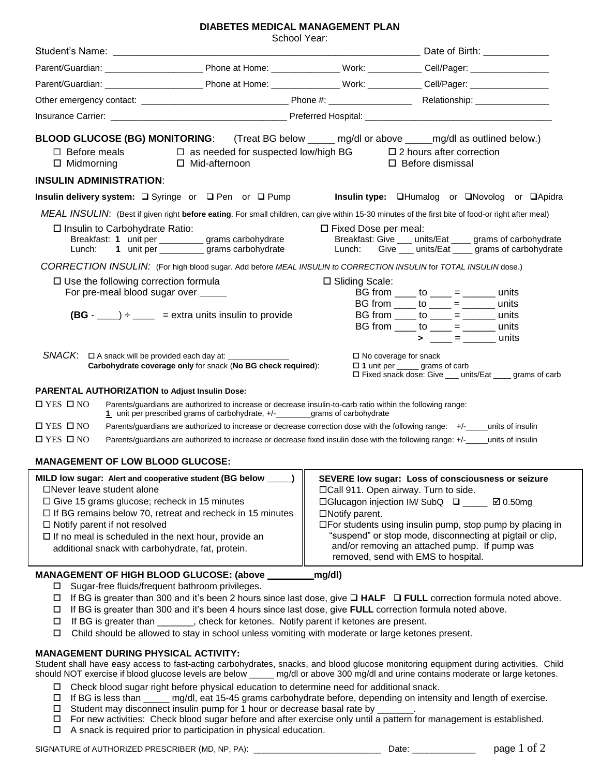## **DIABETES MEDICAL MANAGEMENT PLAN**

School Year:

|                                                                                                                                                                                                                                                                                                                                                                                                  | SCIIOUI TEAL.                                                                                                                                                                                |                                                                                                                                                                                                                                                                                                                                                                                                                                                              |                                                                                                                                                                                                                                                                                                                                                                                                                                                                                                   |  |
|--------------------------------------------------------------------------------------------------------------------------------------------------------------------------------------------------------------------------------------------------------------------------------------------------------------------------------------------------------------------------------------------------|----------------------------------------------------------------------------------------------------------------------------------------------------------------------------------------------|--------------------------------------------------------------------------------------------------------------------------------------------------------------------------------------------------------------------------------------------------------------------------------------------------------------------------------------------------------------------------------------------------------------------------------------------------------------|---------------------------------------------------------------------------------------------------------------------------------------------------------------------------------------------------------------------------------------------------------------------------------------------------------------------------------------------------------------------------------------------------------------------------------------------------------------------------------------------------|--|
|                                                                                                                                                                                                                                                                                                                                                                                                  |                                                                                                                                                                                              |                                                                                                                                                                                                                                                                                                                                                                                                                                                              |                                                                                                                                                                                                                                                                                                                                                                                                                                                                                                   |  |
|                                                                                                                                                                                                                                                                                                                                                                                                  |                                                                                                                                                                                              |                                                                                                                                                                                                                                                                                                                                                                                                                                                              |                                                                                                                                                                                                                                                                                                                                                                                                                                                                                                   |  |
|                                                                                                                                                                                                                                                                                                                                                                                                  |                                                                                                                                                                                              |                                                                                                                                                                                                                                                                                                                                                                                                                                                              |                                                                                                                                                                                                                                                                                                                                                                                                                                                                                                   |  |
|                                                                                                                                                                                                                                                                                                                                                                                                  |                                                                                                                                                                                              |                                                                                                                                                                                                                                                                                                                                                                                                                                                              |                                                                                                                                                                                                                                                                                                                                                                                                                                                                                                   |  |
|                                                                                                                                                                                                                                                                                                                                                                                                  |                                                                                                                                                                                              |                                                                                                                                                                                                                                                                                                                                                                                                                                                              |                                                                                                                                                                                                                                                                                                                                                                                                                                                                                                   |  |
| BLOOD GLUCOSE (BG) MONITORING: (Treat BG below _____ mg/dl or above _____mg/dl as outlined below.)<br>$\Box$ Before meals $\Box$ as needed for suspected low/high BG $\Box$ 2 hours after correction<br>□ Midmorning □ Mid-afternoon                                                                                                                                                             |                                                                                                                                                                                              |                                                                                                                                                                                                                                                                                                                                                                                                                                                              | $\Box$ Before dismissal                                                                                                                                                                                                                                                                                                                                                                                                                                                                           |  |
| <b>INSULIN ADMINISTRATION:</b>                                                                                                                                                                                                                                                                                                                                                                   |                                                                                                                                                                                              |                                                                                                                                                                                                                                                                                                                                                                                                                                                              |                                                                                                                                                                                                                                                                                                                                                                                                                                                                                                   |  |
| Insulin delivery system: □ Syringe or □ Pen or □ Pump                                                                                                                                                                                                                                                                                                                                            |                                                                                                                                                                                              |                                                                                                                                                                                                                                                                                                                                                                                                                                                              | Insulin type: <b>QHumalog</b> or <b>QNovolog</b> or <b>QApidra</b>                                                                                                                                                                                                                                                                                                                                                                                                                                |  |
| MEAL INSULIN: (Best if given right before eating. For small children, can give within 15-30 minutes of the first bite of food-or right after meal)                                                                                                                                                                                                                                               |                                                                                                                                                                                              |                                                                                                                                                                                                                                                                                                                                                                                                                                                              |                                                                                                                                                                                                                                                                                                                                                                                                                                                                                                   |  |
| □ Insulin to Carbohydrate Ratio:<br>Breakfast: 1 unit per __________ grams carbohydrate<br>Lunch: 1 unit per ____________ grams carbohydrate                                                                                                                                                                                                                                                     |                                                                                                                                                                                              | □ Fixed Dose per meal:<br>Breakfast: Give ___ units/Eat ____ grams of carbohydrate<br>Lunch: Give __ units/Eat __ grams of carbohydrate                                                                                                                                                                                                                                                                                                                      |                                                                                                                                                                                                                                                                                                                                                                                                                                                                                                   |  |
| CORRECTION INSULIN: (For high blood sugar. Add before MEAL INSULIN to CORRECTION INSULIN for TOTAL INSULIN dose.)                                                                                                                                                                                                                                                                                |                                                                                                                                                                                              |                                                                                                                                                                                                                                                                                                                                                                                                                                                              |                                                                                                                                                                                                                                                                                                                                                                                                                                                                                                   |  |
| $\square$ Use the following correction formula<br>For pre-meal blood sugar over _____<br>$(BG - ) +$ = extra units insulin to provide                                                                                                                                                                                                                                                            |                                                                                                                                                                                              | □ Sliding Scale:                                                                                                                                                                                                                                                                                                                                                                                                                                             | BG from _____ to ____ = _______ units<br>BG from $\frac{1}{\sqrt{1-\frac{1}{1-\frac{1}{1-\frac{1}{1-\frac{1}{1-\frac{1}{1-\frac{1}{1-\frac{1}{1-\frac{1}{1-\frac{1}{1-\frac{1}{1-\frac{1}{1-\frac{1}{1-\frac{1}{1-\frac{1}{1-\frac{1}{1-\frac{1}{1-\frac{1}{1-\frac{1}{1-\frac{1}{1-\frac{1}{1-\frac{1}{1-\frac{1}{1-\frac{1}{1-\frac{1}{1-\frac{1}{1-\frac{1}{1-\frac{1}{1-\frac{1}{1-\frac{1}{1-\frac{1}{1-\frac{1}{1-\frac{1}{1-\frac{1}{1-\frac{1}{$<br>BG from _____ to ____ = _______ units |  |
| Carbohydrate coverage only for snack (No BG check required):                                                                                                                                                                                                                                                                                                                                     |                                                                                                                                                                                              |                                                                                                                                                                                                                                                                                                                                                                                                                                                              | BG from _____ to ____ = _______ units<br>$\square$ No coverage for snack<br>$\Box$ 1 unit per _____ grams of carb<br>□ Fixed snack dose: Give __ units/Eat ___ grams of carb                                                                                                                                                                                                                                                                                                                      |  |
| <b>PARENTAL AUTHORIZATION to Adjust Insulin Dose:</b>                                                                                                                                                                                                                                                                                                                                            |                                                                                                                                                                                              |                                                                                                                                                                                                                                                                                                                                                                                                                                                              |                                                                                                                                                                                                                                                                                                                                                                                                                                                                                                   |  |
| $\Box$ YES $\Box$ NO                                                                                                                                                                                                                                                                                                                                                                             | Parents/guardians are authorized to increase or decrease insulin-to-carb ratio within the following range:<br>1 unit per prescribed grams of carbohydrate, +/-_________grams of carbohydrate |                                                                                                                                                                                                                                                                                                                                                                                                                                                              |                                                                                                                                                                                                                                                                                                                                                                                                                                                                                                   |  |
| $\Box$ YES $\Box$ NO<br>Parents/guardians are authorized to increase or decrease correction dose with the following range: +/-_____units of insulin                                                                                                                                                                                                                                              |                                                                                                                                                                                              |                                                                                                                                                                                                                                                                                                                                                                                                                                                              |                                                                                                                                                                                                                                                                                                                                                                                                                                                                                                   |  |
| $\Box$ YES $\Box$ NO                                                                                                                                                                                                                                                                                                                                                                             |                                                                                                                                                                                              |                                                                                                                                                                                                                                                                                                                                                                                                                                                              | Parents/guardians are authorized to increase or decrease fixed insulin dose with the following range: +/-_____units of insulin                                                                                                                                                                                                                                                                                                                                                                    |  |
| <b>MANAGEMENT OF LOW BLOOD GLUCOSE:</b>                                                                                                                                                                                                                                                                                                                                                          |                                                                                                                                                                                              |                                                                                                                                                                                                                                                                                                                                                                                                                                                              |                                                                                                                                                                                                                                                                                                                                                                                                                                                                                                   |  |
| $\Box$ Never leave student alone<br>$\Box$ Give 15 grams glucose; recheck in 15 minutes<br>$\Box$ If BG remains below 70, retreat and recheck in 15 minutes<br>$\Box$ Notify parent if not resolved<br>$\Box$ If no meal is scheduled in the next hour, provide an<br>additional snack with carbohydrate, fat, protein.                                                                          |                                                                                                                                                                                              | MILD low sugar: Alert and cooperative student (BG below ____)   SEVERE low sugar: Loss of consciousness or seizure<br>□Call 911. Open airway. Turn to side.<br>□Glucagon injection IM/ SubQ □ ____ Ø 0.50mg<br>$\Box$ Notify parent.<br>$\Box$ For students using insulin pump, stop pump by placing in<br>"suspend" or stop mode, disconnecting at pigtail or clip,<br>and/or removing an attached pump. If pump was<br>removed, send with EMS to hospital. |                                                                                                                                                                                                                                                                                                                                                                                                                                                                                                   |  |
| MANAGEMENT OF HIGH BLOOD GLUCOSE: (above _                                                                                                                                                                                                                                                                                                                                                       |                                                                                                                                                                                              | mg/dl)                                                                                                                                                                                                                                                                                                                                                                                                                                                       |                                                                                                                                                                                                                                                                                                                                                                                                                                                                                                   |  |
| Sugar-free fluids/frequent bathroom privileges.<br>□<br>□<br>If BG is greater than 300 and it's been 4 hours since last dose, give FULL correction formula noted above.<br>$\Box$<br>If BG is greater than _______, check for ketones. Notify parent if ketones are present.<br>$\Box$<br>Child should be allowed to stay in school unless vomiting with moderate or large ketones present.<br>□ |                                                                                                                                                                                              |                                                                                                                                                                                                                                                                                                                                                                                                                                                              | If BG is greater than 300 and it's been 2 hours since last dose, give $\Box$ HALF $\Box$ FULL correction formula noted above.                                                                                                                                                                                                                                                                                                                                                                     |  |
| <b>MANAGEMENT DURING PHYSICAL ACTIVITY:</b>                                                                                                                                                                                                                                                                                                                                                      |                                                                                                                                                                                              |                                                                                                                                                                                                                                                                                                                                                                                                                                                              | Student shall have easy access to fast-acting carbohydrates, snacks, and blood glucose monitoring equipment during activities. Child                                                                                                                                                                                                                                                                                                                                                              |  |

Student shall have easy access to fast-acting carbohydrates, snacks, and blood glucose monitoring equipment during activities. Child should NOT exercise if blood glucose levels are below \_\_\_\_\_ mg/dl or above 300 mg/dl and urine contains moderate or large ketones.

- Check blood sugar right before physical education to determine need for additional snack.
- If BG is less than \_\_\_\_\_ mg/dl, eat 15-45 grams carbohydrate before, depending on intensity and length of exercise.
- $\square$  Student may disconnect insulin pump for 1 hour or decrease basal rate by  $\square$
- □ For new activities: Check blood sugar before and after exercise only until a pattern for management is established.
- $\Box$  A snack is required prior to participation in physical education.

SIGNATURE of AUTHORIZED PRESCRIBER (MD, NP, PA): \_\_\_\_\_\_\_\_\_\_\_\_\_\_\_\_\_\_\_\_\_\_\_\_\_\_\_\_\_\_\_\_ Date: \_\_\_\_\_\_\_\_\_\_\_\_\_\_\_\_\_\_\_\_\_ page 1 of 2